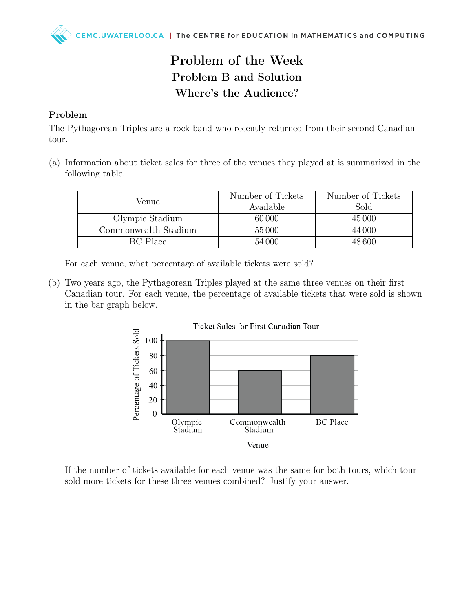## Problem of the Week Problem B and Solution Where's the Audience?

## Problem

The Pythagorean Triples are a rock band who recently returned from their second Canadian tour.

(a) Information about ticket sales for three of the venues they played at is summarized in the following table.

| Venue                | Number of Tickets<br>Available | Number of Tickets<br>Sold |
|----------------------|--------------------------------|---------------------------|
| Olympic Stadium      | 60 000                         | 45 000                    |
| Commonwealth Stadium | 55000                          | 44 000                    |
| BC Place             | 54 000                         | 48.600                    |

For each venue, what percentage of available tickets were sold?

(b) Two years ago, the Pythagorean Triples played at the same three venues on their first Canadian tour. For each venue, the percentage of available tickets that were sold is shown in the bar graph below.



If the number of tickets available for each venue was the same for both tours, which tour sold more tickets for these three venues combined? Justify your answer.